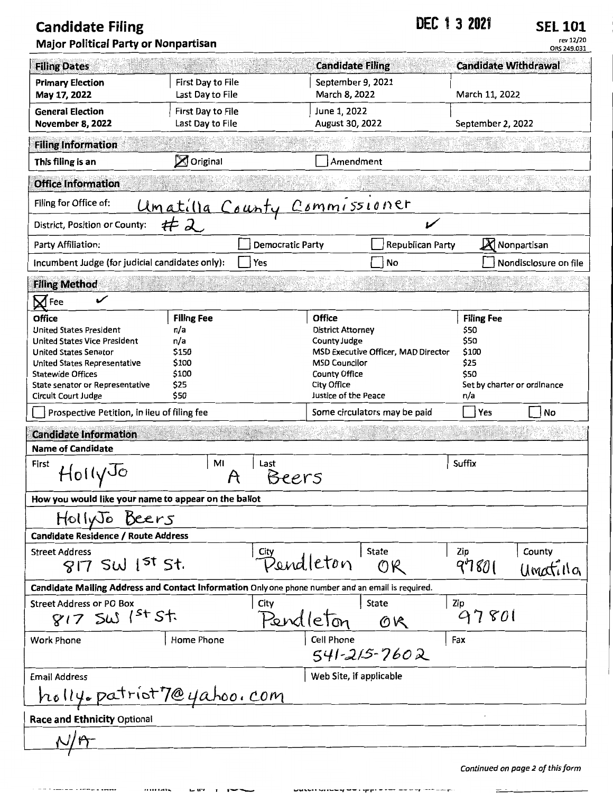## **Candidate Filing 2021 DEC 1 3 2021 SEL 101 Major Political Party or Nonpartisan**

rev 12/20 ORS 249.031

| <b>Filing Dates</b>                                                                                                                                                                                                                   |                                                                            |                              | <b>Candidate Filing</b>            |                                                                                                                                                                                                | <b>Candidate Withdrawal</b> |                                                                                                  |  |
|---------------------------------------------------------------------------------------------------------------------------------------------------------------------------------------------------------------------------------------|----------------------------------------------------------------------------|------------------------------|------------------------------------|------------------------------------------------------------------------------------------------------------------------------------------------------------------------------------------------|-----------------------------|--------------------------------------------------------------------------------------------------|--|
| <b>Primary Election</b><br>May 17, 2022                                                                                                                                                                                               | First Day to File<br>Last Day to File                                      |                              | September 9, 2021<br>March 8, 2022 |                                                                                                                                                                                                | March 11, 2022              |                                                                                                  |  |
| <b>General Election</b><br><b>November 8, 2022</b>                                                                                                                                                                                    | First Day to File<br>Last Day to File                                      |                              | June 1, 2022<br>August 30, 2022    |                                                                                                                                                                                                | September 2, 2022           |                                                                                                  |  |
| <b>Filing Information</b>                                                                                                                                                                                                             |                                                                            |                              |                                    |                                                                                                                                                                                                |                             |                                                                                                  |  |
| This filing is an                                                                                                                                                                                                                     | $\boxtimes$ Original                                                       |                              | Amendment                          |                                                                                                                                                                                                |                             |                                                                                                  |  |
| <b>Office Information</b>                                                                                                                                                                                                             |                                                                            |                              |                                    |                                                                                                                                                                                                |                             |                                                                                                  |  |
| Filing for Office of:                                                                                                                                                                                                                 |                                                                            |                              |                                    |                                                                                                                                                                                                |                             |                                                                                                  |  |
| District, Position or County:                                                                                                                                                                                                         |                                                                            | Umatilla County Commissioner |                                    | V                                                                                                                                                                                              |                             |                                                                                                  |  |
| Party Affiliation:                                                                                                                                                                                                                    |                                                                            | Democratic Party             |                                    | Republican Party                                                                                                                                                                               | X                           | Nonpartisan                                                                                      |  |
| Incumbent Judge (for judicial candidates only):                                                                                                                                                                                       |                                                                            | Yes                          |                                    | No                                                                                                                                                                                             |                             | Nondisclosure on file                                                                            |  |
| <b>Filing Method</b>                                                                                                                                                                                                                  |                                                                            |                              |                                    |                                                                                                                                                                                                |                             |                                                                                                  |  |
| $\mathsf{M}$ Fee                                                                                                                                                                                                                      |                                                                            |                              |                                    |                                                                                                                                                                                                |                             |                                                                                                  |  |
| Office<br><b>United States President</b><br><b>United States Vice President</b><br><b>United States Senator</b><br>United States Representative<br><b>Statewide Offices</b><br>State senator or Representative<br>Circuit Court Judge | <b>Filing Fee</b><br>n/a<br>n/a<br>\$150<br>\$100<br>\$100<br>\$25<br>\$50 |                              |                                    | Office<br><b>District Attorney</b><br><b>County Judge</b><br><b>MSD Executive Officer, MAD Director</b><br><b>MSD Councilor</b><br><b>County Office</b><br>City Office<br>Justice of the Peace |                             | <b>Filing Fee</b><br>\$50<br>\$50<br>\$100<br>\$25<br>\$50<br>Set by charter or ordinance<br>n/a |  |
| Prospective Petition, in lieu of filing fee                                                                                                                                                                                           |                                                                            |                              |                                    | Some circulators may be paid                                                                                                                                                                   | Yes                         | No                                                                                               |  |
| <b>Candidate Information</b>                                                                                                                                                                                                          |                                                                            |                              |                                    |                                                                                                                                                                                                |                             |                                                                                                  |  |
| <b>Name of Candidate</b>                                                                                                                                                                                                              |                                                                            |                              |                                    |                                                                                                                                                                                                |                             |                                                                                                  |  |
| First<br>HollyJo                                                                                                                                                                                                                      | MI                                                                         | Last<br>Beers                |                                    |                                                                                                                                                                                                | Suffix                      |                                                                                                  |  |
| How you would like your name to appear on the ballot                                                                                                                                                                                  |                                                                            |                              |                                    |                                                                                                                                                                                                |                             |                                                                                                  |  |
| HollyJo Beers                                                                                                                                                                                                                         |                                                                            |                              |                                    |                                                                                                                                                                                                |                             |                                                                                                  |  |
| Candidate Residence / Route Address                                                                                                                                                                                                   |                                                                            |                              |                                    |                                                                                                                                                                                                |                             |                                                                                                  |  |
| <b>Street Address</b><br>$817$ SW $1^{51}$ St.                                                                                                                                                                                        |                                                                            |                              | Bendleton                          | <b>State</b><br>OR                                                                                                                                                                             | Zip<br>97801                | County<br>Umatilla                                                                               |  |
| Candidate Mailing Address and Contact Information Only one phone number and an email is required.                                                                                                                                     |                                                                            |                              |                                    |                                                                                                                                                                                                |                             |                                                                                                  |  |
| <b>Street Address or PO Box</b><br>$817$ SW 1st St.                                                                                                                                                                                   |                                                                            | City<br>Pendleton            |                                    | <b>State</b><br>OR                                                                                                                                                                             | Zip<br>97801                |                                                                                                  |  |
| <b>Work Phone</b>                                                                                                                                                                                                                     | Home Phone                                                                 |                              | Cell Phone                         | $541 - 215 - 7602$                                                                                                                                                                             | Fax                         |                                                                                                  |  |
| <b>Email Address</b>                                                                                                                                                                                                                  |                                                                            |                              | Web Site, if applicable            |                                                                                                                                                                                                |                             |                                                                                                  |  |
| holly.patriot7@yahoo.com                                                                                                                                                                                                              |                                                                            |                              |                                    |                                                                                                                                                                                                |                             |                                                                                                  |  |
| <b>Race and Ethnicity Optional</b>                                                                                                                                                                                                    |                                                                            |                              |                                    |                                                                                                                                                                                                |                             |                                                                                                  |  |
|                                                                                                                                                                                                                                       |                                                                            |                              |                                    |                                                                                                                                                                                                |                             |                                                                                                  |  |
|                                                                                                                                                                                                                                       |                                                                            |                              |                                    |                                                                                                                                                                                                |                             | n af thic fara                                                                                   |  |

patent entre et electrique de la component de

≍

 $mmin \rightarrow \pm \text{F'} + \text{F}$ ÷